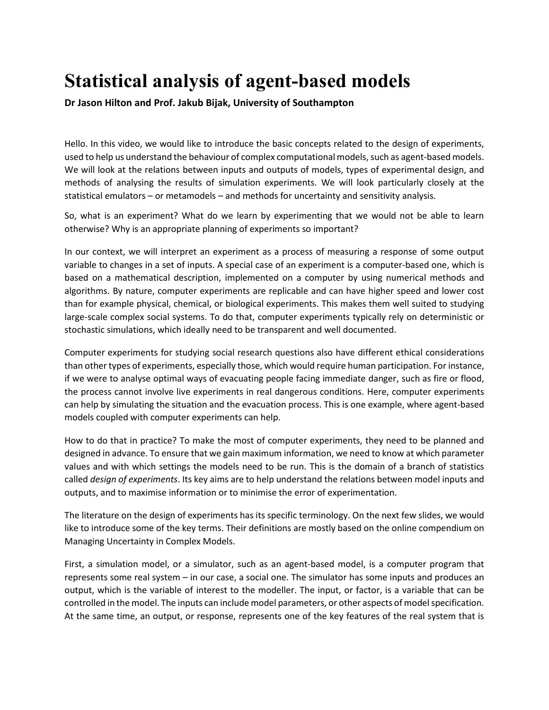## **Statistical analysis of agent-based models**

**Dr Jason Hilton and Prof. Jakub Bijak, University of Southampton**

Hello. In this video, we would like to introduce the basic concepts related to the design of experiments, used to help us understand the behaviour of complex computational models, such as agent-based models. We will look at the relations between inputs and outputs of models, types of experimental design, and methods of analysing the results of simulation experiments. We will look particularly closely at the statistical emulators – or metamodels – and methods for uncertainty and sensitivity analysis.

So, what is an experiment? What do we learn by experimenting that we would not be able to learn otherwise? Why is an appropriate planning of experiments so important?

In our context, we will interpret an experiment as a process of measuring a response of some output variable to changes in a set of inputs. A special case of an experiment is a computer-based one, which is based on a mathematical description, implemented on a computer by using numerical methods and algorithms. By nature, computer experiments are replicable and can have higher speed and lower cost than for example physical, chemical, or biological experiments. This makes them well suited to studying large-scale complex social systems. To do that, computer experiments typically rely on deterministic or stochastic simulations, which ideally need to be transparent and well documented.

Computer experiments for studying social research questions also have different ethical considerations than other types of experiments, especially those, which would require human participation. For instance, if we were to analyse optimal ways of evacuating people facing immediate danger, such as fire or flood, the process cannot involve live experiments in real dangerous conditions. Here, computer experiments can help by simulating the situation and the evacuation process. This is one example, where agent-based models coupled with computer experiments can help.

How to do that in practice? To make the most of computer experiments, they need to be planned and designed in advance. To ensure that we gain maximum information, we need to know at which parameter values and with which settings the models need to be run. This is the domain of a branch of statistics called *design of experiments*. Its key aims are to help understand the relations between model inputs and outputs, and to maximise information or to minimise the error of experimentation.

The literature on the design of experiments has its specific terminology. On the next few slides, we would like to introduce some of the key terms. Their definitions are mostly based on the online compendium on Managing Uncertainty in Complex Models.

First, a simulation model, or a simulator, such as an agent-based model, is a computer program that represents some real system – in our case, a social one. The simulator has some inputs and produces an output, which is the variable of interest to the modeller. The input, or factor, is a variable that can be controlled in the model. The inputs can include model parameters, or other aspects of model specification. At the same time, an output, or response, represents one of the key features of the real system that is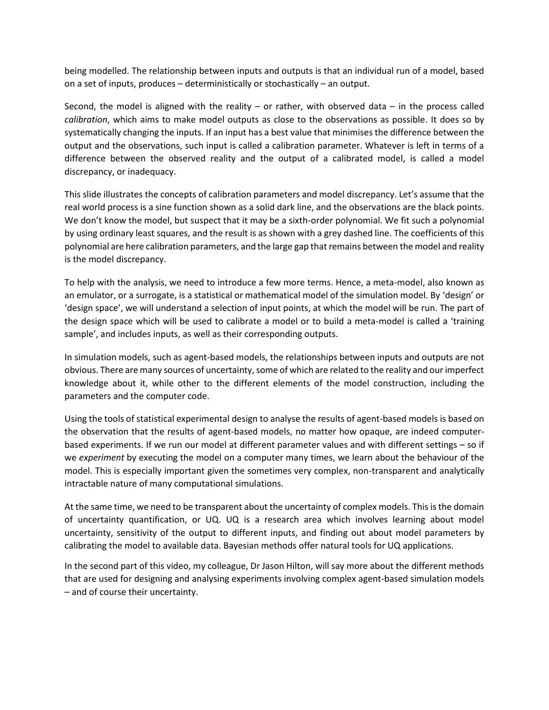being modelled. The relationship between inputs and outputs is that an individual run of a model, based on a set of inputs, produces – deterministically or stochastically – an output.

Second, the model is aligned with the reality – or rather, with observed data – in the process called *calibration*, which aims to make model outputs as close to the observations as possible. It does so by systematically changing the inputs. If an input has a best value that minimises the difference between the output and the observations, such input is called a calibration parameter. Whatever is left in terms of a difference between the observed reality and the output of a calibrated model, is called a model discrepancy, or inadequacy.

This slide illustrates the concepts of calibration parameters and model discrepancy. Let's assume that the real world process is a sine function shown as a solid dark line, and the observations are the black points. We don't know the model, but suspect that it may be a sixth-order polynomial. We fit such a polynomial by using ordinary least squares, and the result is as shown with a grey dashed line. The coefficients of this polynomial are here calibration parameters, and the large gap that remains between the model and reality is the model discrepancy.

To help with the analysis, we need to introduce a few more terms. Hence, a meta-model, also known as an emulator, or a surrogate, is a statistical or mathematical model of the simulation model. By 'design' or 'design space', we will understand a selection of input points, at which the model will be run. The part of the design space which will be used to calibrate a model or to build a meta-model is called a 'training sample', and includes inputs, as well as their corresponding outputs.

In simulation models, such as agent-based models, the relationships between inputs and outputs are not obvious. There are many sources of uncertainty, some of which are related to the reality and our imperfect knowledge about it, while other to the different elements of the model construction, including the parameters and the computer code.

Using the tools of statistical experimental design to analyse the results of agent-based models is based on the observation that the results of agent-based models, no matter how opaque, are indeed computerbased experiments. If we run our model at different parameter values and with different settings – so if we *experiment* by executing the model on a computer many times, we learn about the behaviour of the model. This is especially important given the sometimes very complex, non-transparent and analytically intractable nature of many computational simulations.

At the same time, we need to be transparent about the uncertainty of complex models. This is the domain of uncertainty quantification, or UQ. UQ is a research area which involves learning about model uncertainty, sensitivity of the output to different inputs, and finding out about model parameters by calibrating the model to available data. Bayesian methods offer natural tools for UQ applications.

In the second part of this video, my colleague, Dr Jason Hilton, will say more about the different methods that are used for designing and analysing experiments involving complex agent-based simulation models – and of course their uncertainty.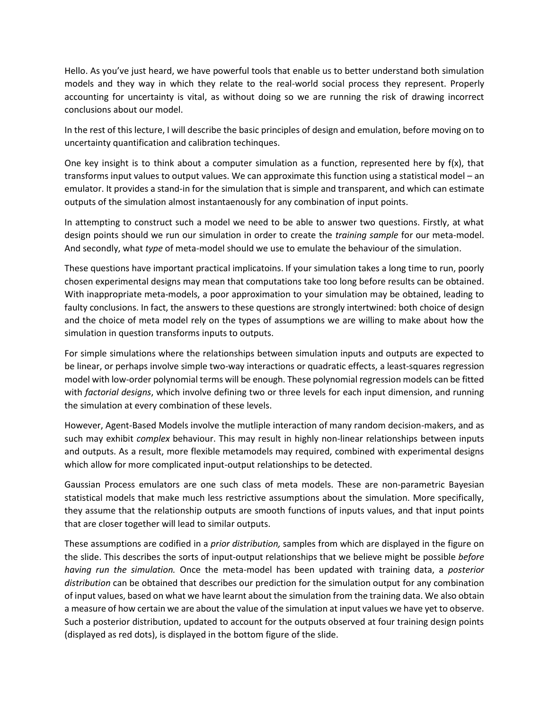Hello. As you've just heard, we have powerful tools that enable us to better understand both simulation models and they way in which they relate to the real-world social process they represent. Properly accounting for uncertainty is vital, as without doing so we are running the risk of drawing incorrect conclusions about our model.

In the rest of this lecture, I will describe the basic principles of design and emulation, before moving on to uncertainty quantification and calibration techinques.

One key insight is to think about a computer simulation as a function, represented here by  $f(x)$ , that transforms input values to output values. We can approximate this function using a statistical model – an emulator. It provides a stand-in for the simulation that is simple and transparent, and which can estimate outputs of the simulation almost instantaenously for any combination of input points.

In attempting to construct such a model we need to be able to answer two questions. Firstly, at what design points should we run our simulation in order to create the *training sample* for our meta-model. And secondly, what *type* of meta-model should we use to emulate the behaviour of the simulation.

These questions have important practical implicatoins. If your simulation takes a long time to run, poorly chosen experimental designs may mean that computations take too long before results can be obtained. With inappropriate meta-models, a poor approximation to your simulation may be obtained, leading to faulty conclusions. In fact, the answers to these questions are strongly intertwined: both choice of design and the choice of meta model rely on the types of assumptions we are willing to make about how the simulation in question transforms inputs to outputs.

For simple simulations where the relationships between simulation inputs and outputs are expected to be linear, or perhaps involve simple two-way interactions or quadratic effects, a least-squares regression model with low-order polynomial terms will be enough. These polynomial regression models can be fitted with *factorial designs*, which involve defining two or three levels for each input dimension, and running the simulation at every combination of these levels.

However, Agent-Based Models involve the mutliple interaction of many random decision-makers, and as such may exhibit *complex* behaviour. This may result in highly non-linear relationships between inputs and outputs. As a result, more flexible metamodels may required, combined with experimental designs which allow for more complicated input-output relationships to be detected.

Gaussian Process emulators are one such class of meta models. These are non-parametric Bayesian statistical models that make much less restrictive assumptions about the simulation. More specifically, they assume that the relationship outputs are smooth functions of inputs values, and that input points that are closer together will lead to similar outputs.

These assumptions are codified in a *prior distribution,* samples from which are displayed in the figure on the slide. This describes the sorts of input-output relationships that we believe might be possible *before having run the simulation.* Once the meta-model has been updated with training data, a *posterior distribution* can be obtained that describes our prediction for the simulation output for any combination of input values, based on what we have learnt about the simulation from the training data. We also obtain a measure of how certain we are about the value of the simulation at input values we have yet to observe. Such a posterior distribution, updated to account for the outputs observed at four training design points (displayed as red dots), is displayed in the bottom figure of the slide.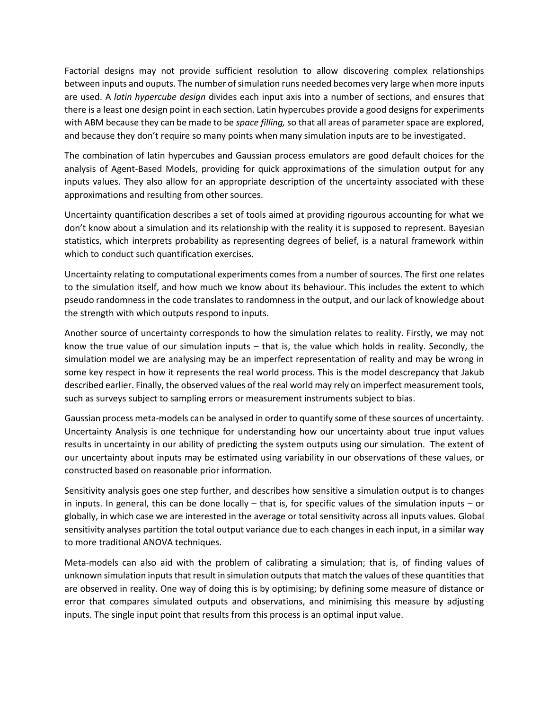Factorial designs may not provide sufficient resolution to allow discovering complex relationships between inputs and ouputs. The number of simulation runs needed becomes very large when more inputs are used. A *latin hypercube design* divides each input axis into a number of sections, and ensures that there is a least one design point in each section. Latin hypercubes provide a good designs for experiments with ABM because they can be made to be *space filling,* so that all areas of parameter space are explored, and because they don't require so many points when many simulation inputs are to be investigated.

The combination of latin hypercubes and Gaussian process emulators are good default choices for the analysis of Agent-Based Models, providing for quick approximations of the simulation output for any inputs values. They also allow for an appropriate description of the uncertainty associated with these approximations and resulting from other sources.

Uncertainty quantification describes a set of tools aimed at providing rigourous accounting for what we don't know about a simulation and its relationship with the reality it is supposed to represent. Bayesian statistics, which interprets probability as representing degrees of belief, is a natural framework within which to conduct such quantification exercises.

Uncertainty relating to computational experiments comes from a number of sources. The first one relates to the simulation itself, and how much we know about its behaviour. This includes the extent to which pseudo randomness in the code translates to randomness in the output, and our lack of knowledge about the strength with which outputs respond to inputs.

Another source of uncertainty corresponds to how the simulation relates to reality. Firstly, we may not know the true value of our simulation inputs – that is, the value which holds in reality. Secondly, the simulation model we are analysing may be an imperfect representation of reality and may be wrong in some key respect in how it represents the real world process. This is the model descrepancy that Jakub described earlier. Finally, the observed values of the real world may rely on imperfect measurement tools, such as surveys subject to sampling errors or measurement instruments subject to bias.

Gaussian process meta-models can be analysed in order to quantify some of these sources of uncertainty. Uncertainty Analysis is one technique for understanding how our uncertainty about true input values results in uncertainty in our ability of predicting the system outputs using our simulation. The extent of our uncertainty about inputs may be estimated using variability in our observations of these values, or constructed based on reasonable prior information.

Sensitivity analysis goes one step further, and describes how sensitive a simulation output is to changes in inputs. In general, this can be done locally – that is, for specific values of the simulation inputs – or globally, in which case we are interested in the average or total sensitivity across all inputs values. Global sensitivity analyses partition the total output variance due to each changes in each input, in a similar way to more traditional ANOVA techniques.

Meta-models can also aid with the problem of calibrating a simulation; that is, of finding values of unknown simulation inputs that result in simulation outputs that match the values of these quantities that are observed in reality. One way of doing this is by optimising; by defining some measure of distance or error that compares simulated outputs and observations, and minimising this measure by adjusting inputs. The single input point that results from this process is an optimal input value.